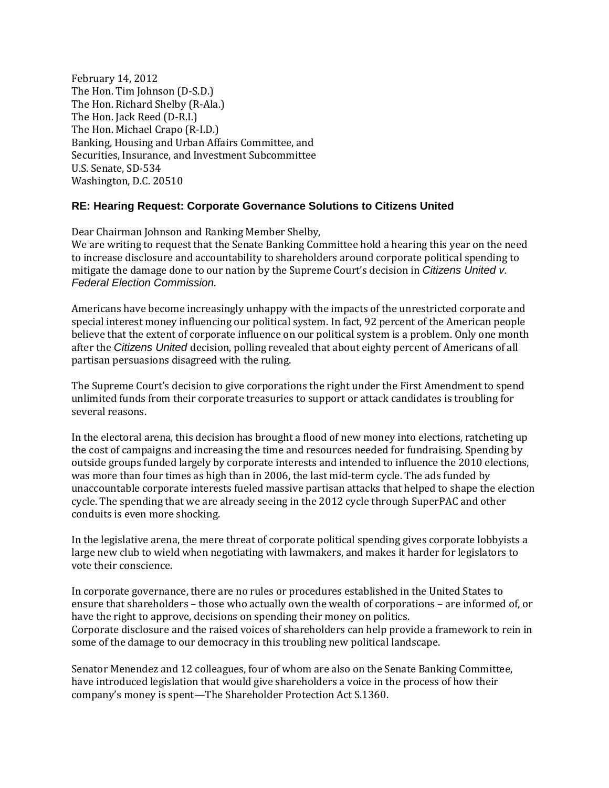February 14, 2012 The Hon. Tim Johnson (D-S.D.) The Hon. Richard Shelby (R-Ala.) The Hon. Jack Reed (D-R.I.) The Hon. Michael Crapo (R-I.D.) Banking, Housing and Urban Affairs Committee, and Securities, Insurance, and Investment Subcommittee U.S. Senate, SD-534 Washington, D.C. 20510

## **RE: Hearing Request: Corporate Governance Solutions to Citizens United**

Dear Chairman Johnson and Ranking Member Shelby,

We are writing to request that the Senate Banking Committee hold a hearing this year on the need to increase disclosure and accountability to shareholders around corporate political spending to mitigate the damage done to our nation by the Supreme Court's decision in *Citizens United v.* Federal Election Commission.

Americans have become increasingly unhappy with the impacts of the unrestricted corporate and special interest money influencing our political system. In fact, 92 percent of the American people believe that the extent of corporate influence on our political system is a problem. Only one month after the Citizens United decision, polling revealed that about eighty percent of Americans of all partisan persuasions disagreed with the ruling.

The Supreme Court's decision to give corporations the right under the First Amendment to spend unlimited funds from their corporate treasuries to support or attack candidates is troubling for several reasons.

In the electoral arena, this decision has brought a flood of new money into elections, ratcheting up the cost of campaigns and increasing the time and resources needed for fundraising. Spending by outside groups funded largely by corporate interests and intended to influence the 2010 elections, was more than four times as high than in 2006, the last mid-term cycle. The ads funded by unaccountable corporate interests fueled massive partisan attacks that helped to shape the election cycle. The spending that we are already seeing in the 2012 cycle through SuperPAC and other conduits is even more shocking.

In the legislative arena, the mere threat of corporate political spending gives corporate lobbyists a large new club to wield when negotiating with lawmakers, and makes it harder for legislators to vote their conscience.

In corporate governance, there are no rules or procedures established in the United States to ensure that shareholders – those who actually own the wealth of corporations – are informed of, or have the right to approve, decisions on spending their money on politics. Corporate disclosure and the raised voices of shareholders can help provide a framework to rein in some of the damage to our democracy in this troubling new political landscape.

Senator Menendez and 12 colleagues, four of whom are also on the Senate Banking Committee, have introduced legislation that would give shareholders a voice in the process of how their company's money is spent—The Shareholder Protection Act S.1360.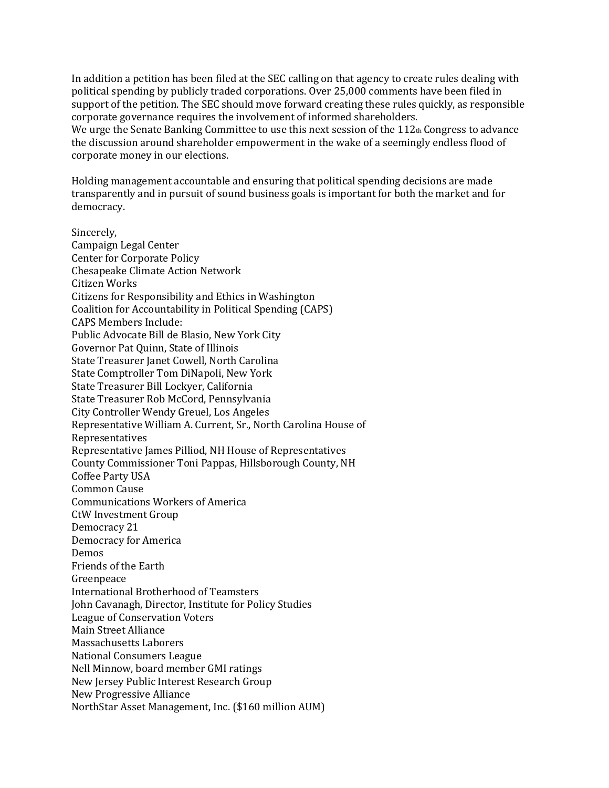In addition a petition has been filed at the SEC calling on that agency to create rules dealing with political spending by publicly traded corporations. Over 25,000 comments have been filed in support of the petition. The SEC should move forward creating these rules quickly, as responsible corporate governance requires the involvement of informed shareholders.

We urge the Senate Banking Committee to use this next session of the  $112<sub>th</sub>$  Congress to advance the discussion around shareholder empowerment in the wake of a seemingly endless flood of corporate money in our elections.

Holding management accountable and ensuring that political spending decisions are made transparently and in pursuit of sound business goals is important for both the market and for democracy.

Sincerely, Campaign Legal Center Center for Corporate Policy Chesapeake Climate Action Network Citizen Works Citizens for Responsibility and Ethics in Washington Coalition for Accountability in Political Spending (CAPS) CAPS Members Include: Public Advocate Bill de Blasio, New York City Governor Pat Quinn, State of Illinois State Treasurer Janet Cowell, North Carolina State Comptroller Tom DiNapoli, New York State Treasurer Bill Lockyer, California State Treasurer Rob McCord, Pennsylvania City Controller Wendy Greuel, Los Angeles Representative William A. Current, Sr., North Carolina House of Representatives Representative James Pilliod, NH House of Representatives County Commissioner Toni Pappas, Hillsborough County, NH Coffee Party USA Common Cause Communications Workers of America CtW Investment Group Democracy 21 Democracy for America Demos Friends of the Earth Greenpeace International Brotherhood of Teamsters John Cavanagh, Director, Institute for Policy Studies League of Conservation Voters Main Street Alliance Massachusetts Laborers National Consumers League Nell Minnow, board member GMI ratings New Jersey Public Interest Research Group New Progressive Alliance NorthStar Asset Management, Inc. (\$160 million AUM)